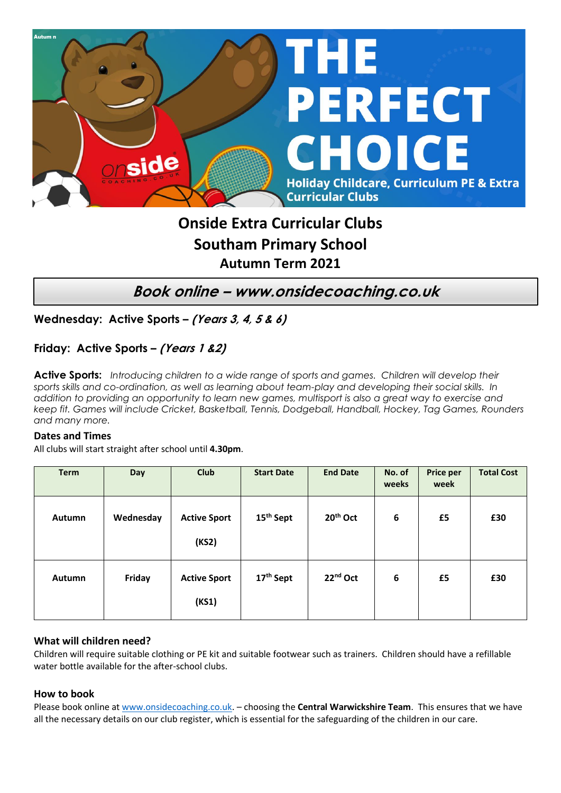

## **Onside Extra Curricular Clubs Southam Primary School Autumn Term 2021**

**Book online – www.onsidecoaching.co.uk**

**Wednesday: Active Sports – (Years 3, 4, 5 & 6)**

**Friday: Active Sports – (Years 1 &2)**

**Active Sports:** *Introducing children to a wide range of sports and games. Children will develop their sports skills and co-ordination, as well as learning about team-play and developing their social skills. In addition to providing an opportunity to learn new games, multisport is also a great way to exercise and keep fit. Games will include Cricket, Basketball, Tennis, Dodgeball, Handball, Hockey, Tag Games, Rounders and many more.*

## **Dates and Times**

All clubs will start straight after school until **4.30pm**.

| <b>Term</b> | <b>Day</b> | <b>Club</b>                  | <b>Start Date</b>     | <b>End Date</b>      | No. of<br>weeks | Price per<br>week | <b>Total Cost</b> |
|-------------|------------|------------------------------|-----------------------|----------------------|-----------------|-------------------|-------------------|
| Autumn      | Wednesday  | <b>Active Sport</b><br>(KS2) | 15 <sup>th</sup> Sept | 20 <sup>th</sup> Oct | 6               | £5                | £30               |
| Autumn      | Friday     | <b>Active Sport</b><br>(KS1) | 17 <sup>th</sup> Sept | 22 <sup>nd</sup> Oct | 6               | £5                | £30               |

## **What will children need?**

Children will require suitable clothing or PE kit and suitable footwear such as trainers. Children should have a refillable water bottle available for the after-school clubs.

## **How to book**

Please book online a[t www.onsidecoaching.co.uk.](http://www.onsidecoaching.co.uk/) – choosing the **Central Warwickshire Team**. This ensures that we have all the necessary details on our club register, which is essential for the safeguarding of the children in our care.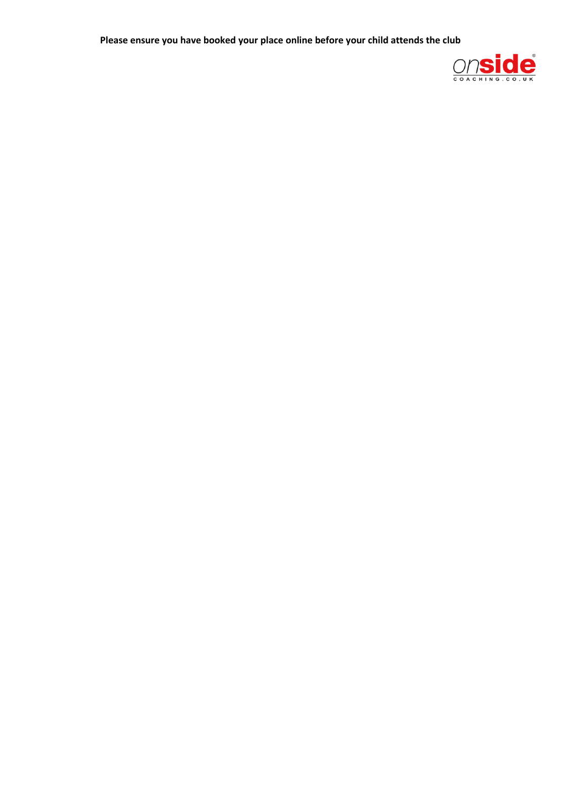**Please ensure you have booked your place online before your child attends the club**